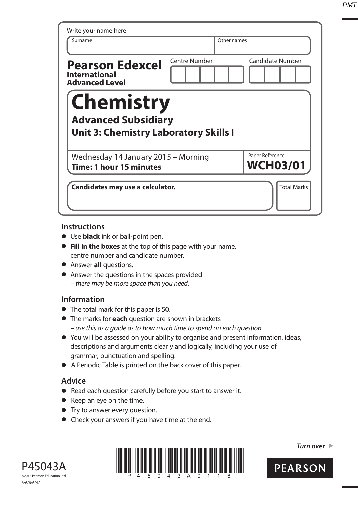*PMT*

| Surname                                                                                        |                      | Other names                        |
|------------------------------------------------------------------------------------------------|----------------------|------------------------------------|
| <b>Pearson Edexcel</b><br><b>International</b><br><b>Advanced Level</b>                        | <b>Centre Number</b> | <b>Candidate Number</b>            |
| <b>Chemistry</b><br><b>Advanced Subsidiary</b><br><b>Unit 3: Chemistry Laboratory Skills I</b> |                      |                                    |
|                                                                                                |                      |                                    |
| Wednesday 14 January 2015 - Morning<br>Time: 1 hour 15 minutes                                 |                      | Paper Reference<br><b>WCH03/01</b> |

## **Instructions**

- **•** Use **black** ink or ball-point pen.
- **Fill in the boxes** at the top of this page with your name, centre number and candidate number.
- **•** Answer **all** questions.
- **•** Answer the questions in the spaces provided – there may be more space than you need.

## **Information**

- **•** The total mark for this paper is 50.
- **t** The marks for **each** question are shown in brackets – use this as a guide as to how much time to spend on each question.
- **t** You will be assessed on your ability to organise and present information, ideas, descriptions and arguments clearly and logically, including your use of grammar, punctuation and spelling.
- **t** A Periodic Table is printed on the back cover of this paper.

## **Advice**

- **t** Read each question carefully before you start to answer it.
- **•** Keep an eye on the time.
- **•** Try to answer every question.
- **•** Check your answers if you have time at the end.



*Turn over* 

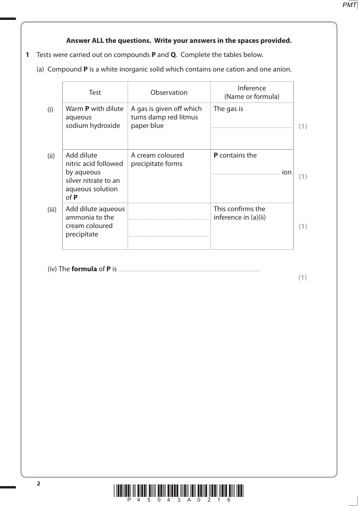## **Answer ALL the questions. Write your answers in the spaces provided.**

- **1** Tests were carried out on compounds **P** and **Q**. Complete the tables below.
	- (a) Compound **P** is a white inorganic solid which contains one cation and one anion.

|       | <b>Test</b>                                                                                                 | Observation                                                     | Inference<br>(Name or formula)            |     |
|-------|-------------------------------------------------------------------------------------------------------------|-----------------------------------------------------------------|-------------------------------------------|-----|
| (i)   | Warm P with dilute<br>aqueous<br>sodium hydroxide                                                           | A gas is given off which<br>turns damp red litmus<br>paper blue | The gas is                                | (1) |
| (ii)  | Add dilute<br>nitric acid followed<br>by aqueous<br>silver nitrate to an<br>aqueous solution<br>of <b>P</b> | A cream coloured<br>precipitate forms                           | <b>P</b> contains the<br>ion              | (1) |
| (iii) | Add dilute aqueous<br>ammonia to the<br>cream coloured<br>precipitate                                       |                                                                 | This confirms the<br>inference in (a)(ii) | (1) |

(iv) The **formula** of **P** is ................................................................................................................................

**(1)**

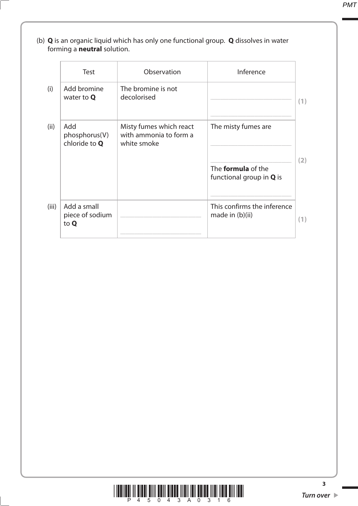(b) **Q** is an organic liquid which has only one functional group. **Q** dissolves in water forming a **neutral** solution.

|       | <b>Test</b>                                   | Observation                                                      | Inference                                               |     |
|-------|-----------------------------------------------|------------------------------------------------------------------|---------------------------------------------------------|-----|
| (i)   | Add bromine<br>water to <b>Q</b>              | The bromine is not<br>decolorised                                |                                                         | (1) |
| (ii)  | Add<br>phosphorus(V)<br>chloride to <b>Q</b>  | Misty fumes which react<br>with ammonia to form a<br>white smoke | The misty fumes are                                     |     |
|       |                                               |                                                                  | The <b>formula</b> of the<br>functional group in $Q$ is | 2)  |
| (iii) | Add a small<br>piece of sodium<br>to <b>Q</b> |                                                                  | This confirms the inference<br>made in $(b)(ii)$        | (1) |
|       |                                               |                                                                  |                                                         |     |

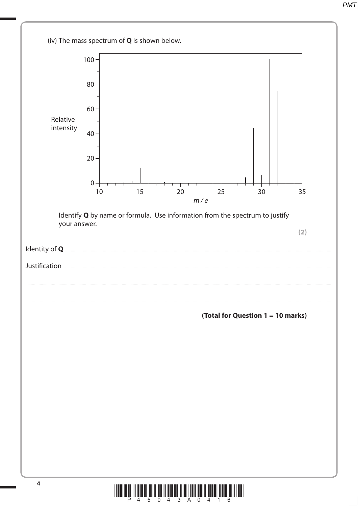

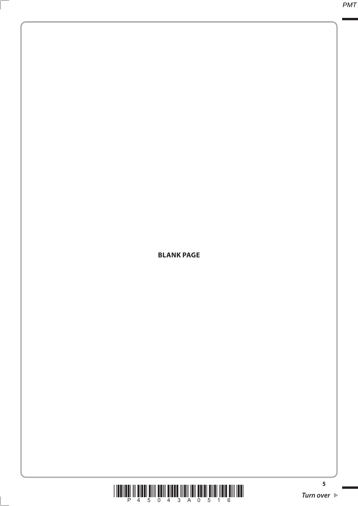**BLANK PAGE**

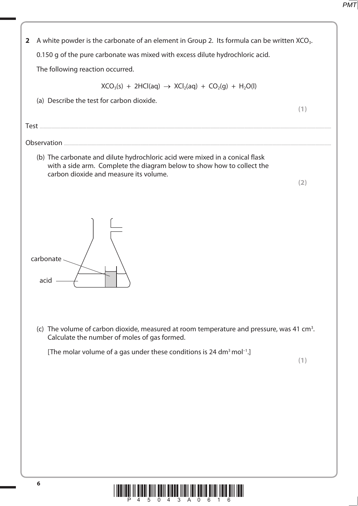| $\overline{2}$ | A white powder is the carbonate of an element in Group 2. Its formula can be written $XCO3$ .<br>0.150 g of the pure carbonate was mixed with excess dilute hydrochloric acid.<br>The following reaction occurred.<br>$XCO3(s) + 2HCl(aq) \rightarrow XCl2(aq) + CO2(q) + H2O(l)$ |     |
|----------------|-----------------------------------------------------------------------------------------------------------------------------------------------------------------------------------------------------------------------------------------------------------------------------------|-----|
|                | (a) Describe the test for carbon dioxide.                                                                                                                                                                                                                                         | (1) |
|                |                                                                                                                                                                                                                                                                                   |     |
|                |                                                                                                                                                                                                                                                                                   |     |
|                | (b) The carbonate and dilute hydrochloric acid were mixed in a conical flask<br>with a side arm. Complete the diagram below to show how to collect the<br>carbon dioxide and measure its volume.                                                                                  |     |
|                |                                                                                                                                                                                                                                                                                   | (2) |
|                | carbonate<br>acid                                                                                                                                                                                                                                                                 |     |
|                | (c) The volume of carbon dioxide, measured at room temperature and pressure, was 41 cm <sup>3</sup> .<br>Calculate the number of moles of gas formed.                                                                                                                             |     |
|                | [The molar volume of a gas under these conditions is 24 dm <sup>3</sup> mol <sup>-1</sup> .]                                                                                                                                                                                      | (1) |
|                |                                                                                                                                                                                                                                                                                   |     |
|                | 6                                                                                                                                                                                                                                                                                 |     |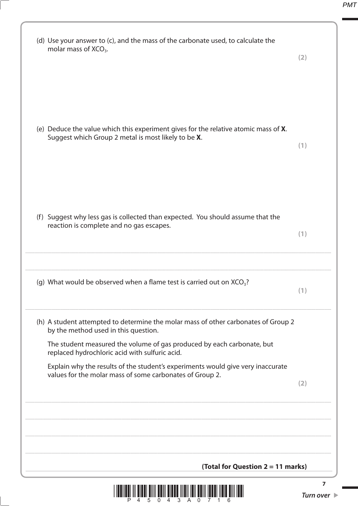| (Total for Question 2 = 11 marks)                                                                                                                                                                           |     |
|-------------------------------------------------------------------------------------------------------------------------------------------------------------------------------------------------------------|-----|
|                                                                                                                                                                                                             |     |
|                                                                                                                                                                                                             |     |
| values for the molar mass of some carbonates of Group 2.                                                                                                                                                    | (2) |
| The student measured the volume of gas produced by each carbonate, but<br>replaced hydrochloric acid with sulfuric acid.<br>Explain why the results of the student's experiments would give very inaccurate |     |
| (h) A student attempted to determine the molar mass of other carbonates of Group 2<br>by the method used in this question.                                                                                  |     |
| (g) What would be observed when a flame test is carried out on $XCO3$ ?                                                                                                                                     | (1) |
|                                                                                                                                                                                                             | (1) |
| (f) Suggest why less gas is collected than expected. You should assume that the<br>reaction is complete and no gas escapes.                                                                                 |     |
| (e) Deduce the value which this experiment gives for the relative atomic mass of X.<br>Suggest which Group 2 metal is most likely to be X.                                                                  | (1) |
|                                                                                                                                                                                                             |     |
| (d) Use your answer to (c), and the mass of the carbonate used, to calculate the<br>molar mass of $XCO3$ .                                                                                                  | (2) |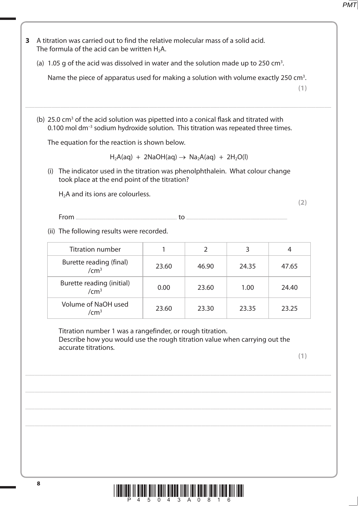**3** A titration was carried out to find the relative molecular mass of a solid acid. The formula of the acid can be written  $H_2A$ . (a) 1.05 g of the acid was dissolved in water and the solution made up to 250 cm<sup>3</sup>. Name the piece of apparatus used for making a solution with volume exactly 250 cm<sup>3</sup>. **(1)** .................................................................................................................................................................................................................................................................................... (b) 25.0  $\text{cm}^3$  of the acid solution was pipetted into a conical flask and titrated with 0.100 mol dm<sup>-3</sup> sodium hydroxide solution. This titration was repeated three times. The equation for the reaction is shown below.  $H_2A(aq) + 2NaOH(aq) \rightarrow Na_2A(aq) + 2H_2O(l)$  (i) The indicator used in the titration was phenolphthalein. What colour change took place at the end point of the titration? H<sub>2</sub>A and its ions are colourless. **(2)** From ........................................................................................... to ........................................................................................... (ii) The following results were recorded. Titration number  $\begin{array}{|c|c|c|c|c|c|c|c|} \hline 1 & 2 & 3 & 4 \ \hline \end{array}$ Burette reading (final)  $\chi_{\text{cm}^3}$  23.60 46.90 24.35 47.65 Burette reading (initial)  $\frac{1}{2}$  /cm<sup>3</sup> 1.00 0.00 23.60 1.00 24.40 Volume of NaOH used  $\sqrt{cm}^3$  23.60 23.30 23.35 23.25 Titration number 1 was a rangefinder, or rough titration. Describe how you would use the rough titration value when carrying out the accurate titrations. **(1)** .................................................................................................................................................................................................................................................................................... .................................................................................................................................................................................................................................................................................... .................................................................................................................................................................................................................................................................................... ....................................................................................................................................................................................................................................................................................

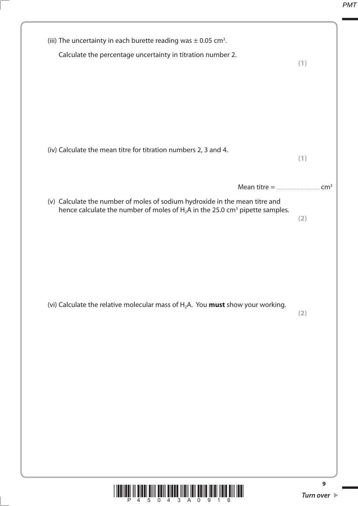| hence calculate the number of moles of $H_2A$ in the 25.0 cm <sup>3</sup> pipette samples.<br>(vi) Calculate the relative molecular mass of $H_2A$ . You <b>must</b> show your working. | (2)<br>(2) |
|-----------------------------------------------------------------------------------------------------------------------------------------------------------------------------------------|------------|
|                                                                                                                                                                                         |            |
|                                                                                                                                                                                         |            |
|                                                                                                                                                                                         |            |
|                                                                                                                                                                                         |            |
|                                                                                                                                                                                         |            |
| (v) Calculate the number of moles of sodium hydroxide in the mean titre and                                                                                                             |            |
|                                                                                                                                                                                         |            |
| (iv) Calculate the mean titre for titration numbers 2, 3 and 4.                                                                                                                         | (1)        |
|                                                                                                                                                                                         |            |
|                                                                                                                                                                                         |            |
| Calculate the percentage uncertainty in titration number 2.                                                                                                                             | (1)        |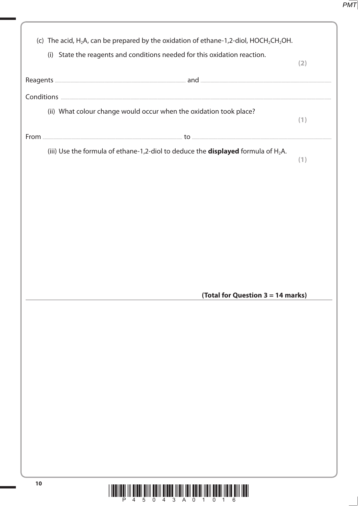$P\overline{MT}$ 

| (c) The acid, $H_2A$ , can be prepared by the oxidation of ethane-1,2-diol, $HOCH_2CH_2OH$ .         |     |
|------------------------------------------------------------------------------------------------------|-----|
| (i) State the reagents and conditions needed for this oxidation reaction.                            | (2) |
|                                                                                                      |     |
|                                                                                                      |     |
| (ii) What colour change would occur when the oxidation took place?                                   | (1) |
|                                                                                                      |     |
| (iii) Use the formula of ethane-1,2-diol to deduce the <b>displayed</b> formula of H <sub>2</sub> A. | (1) |
|                                                                                                      |     |
|                                                                                                      |     |
|                                                                                                      |     |
| (Total for Question 3 = 14 marks)                                                                    |     |
|                                                                                                      |     |
|                                                                                                      |     |
|                                                                                                      |     |
|                                                                                                      |     |
|                                                                                                      |     |
|                                                                                                      |     |
| 10<br><u> I ITALIAN III DITA DIII DOM ASA BADA IIIN IBN BORI IIBN DOM IIBN BIN IBN I</u>             |     |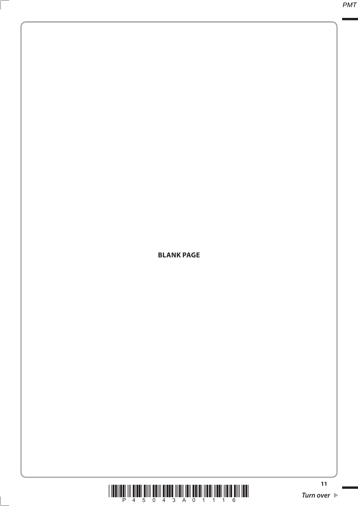

 $\begin{array}{c} \text{if} \ \text{if} \ \text{if} \ \text{if} \ \text{if} \ \text{if} \ \text{if} \ \text{if} \ \text{if} \ \text{if} \ \text{if} \ \text{if} \ \text{if} \ \text{if} \ \text{if} \ \text{if} \ \text{if} \ \text{if} \ \text{if} \ \text{if} \ \text{if} \ \text{if} \ \text{if} \ \text{if} \ \text{if} \ \text{if} \ \text{if} \ \text{if} \ \text{if} \ \text{if} \ \text{if} \ \text{if} \ \text{if} \ \text{if} \ \text{if} \ \text{$ 

**BLANK PAGE**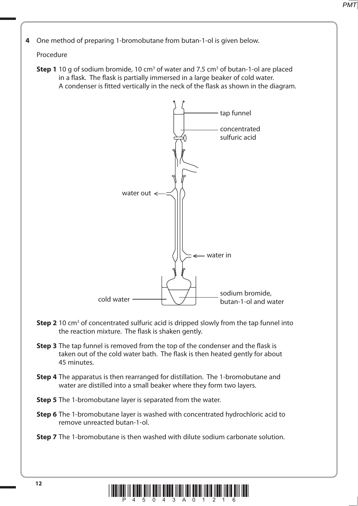**4** One method of preparing 1-bromobutane from butan-1-ol is given below.

Procedure

**Step 1** 10 g of sodium bromide, 10 cm<sup>3</sup> of water and 7.5 cm<sup>3</sup> of butan-1-ol are placed in a flask. The flask is partially immersed in a large beaker of cold water. A condenser is fitted vertically in the neck of the flask as shown in the diagram.



- **Step 2** 10 cm<sup>3</sup> of concentrated sulfuric acid is dripped slowly from the tap funnel into the reaction mixture. The flask is shaken gently.
- **Step 3** The tap funnel is removed from the top of the condenser and the flask is taken out of the cold water bath. The flask is then heated gently for about 45 minutes.
- **Step 4** The apparatus is then rearranged for distillation. The 1-bromobutane and water are distilled into a small beaker where they form two layers.
- **Step 5** The 1-bromobutane layer is separated from the water.
- **Step 6** The 1-bromobutane layer is washed with concentrated hydrochloric acid to remove unreacted butan-1-ol.
- **Step 7** The 1-bromobutane is then washed with dilute sodium carbonate solution.

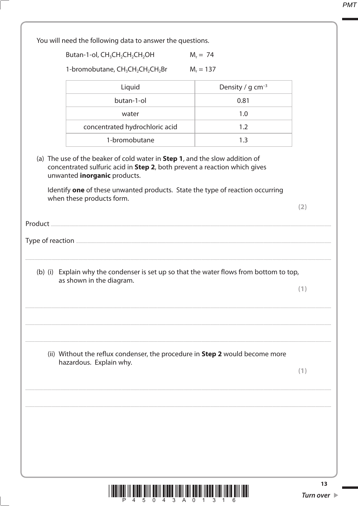| 1-bromobutane, CH <sub>3</sub> CH <sub>2</sub> CH <sub>2</sub> CH <sub>2</sub> Br<br>Liquid<br>butan-1-ol<br>water<br>concentrated hydrochloric acid<br>1-bromobutane<br>(a) The use of the beaker of cold water in Step 1, and the slow addition of<br>concentrated sulfuric acid in Step 2, both prevent a reaction which gives<br>unwanted <i>inorganic</i> products.<br>when these products form. | $M_r = 137$<br>Density / $g cm^{-3}$<br>0.81<br>1.0<br>1.2<br>1.3<br>Identify one of these unwanted products. State the type of reaction occurring |     |
|-------------------------------------------------------------------------------------------------------------------------------------------------------------------------------------------------------------------------------------------------------------------------------------------------------------------------------------------------------------------------------------------------------|----------------------------------------------------------------------------------------------------------------------------------------------------|-----|
|                                                                                                                                                                                                                                                                                                                                                                                                       |                                                                                                                                                    |     |
|                                                                                                                                                                                                                                                                                                                                                                                                       |                                                                                                                                                    |     |
|                                                                                                                                                                                                                                                                                                                                                                                                       |                                                                                                                                                    |     |
|                                                                                                                                                                                                                                                                                                                                                                                                       |                                                                                                                                                    |     |
|                                                                                                                                                                                                                                                                                                                                                                                                       |                                                                                                                                                    |     |
|                                                                                                                                                                                                                                                                                                                                                                                                       |                                                                                                                                                    |     |
|                                                                                                                                                                                                                                                                                                                                                                                                       |                                                                                                                                                    | (2) |
|                                                                                                                                                                                                                                                                                                                                                                                                       |                                                                                                                                                    |     |
| $(b)$ (i)<br>as shown in the diagram.                                                                                                                                                                                                                                                                                                                                                                 | Explain why the condenser is set up so that the water flows from bottom to top,                                                                    |     |
| hazardous. Explain why.                                                                                                                                                                                                                                                                                                                                                                               | (ii) Without the reflux condenser, the procedure in Step 2 would become more                                                                       | (1) |

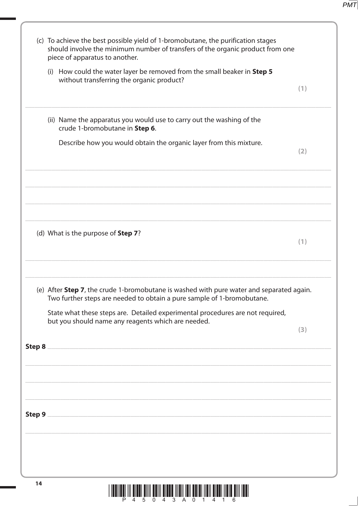| (c) To achieve the best possible yield of 1-bromobutane, the purification stages<br>should involve the minimum number of transfers of the organic product from one<br>piece of apparatus to another. |     |
|------------------------------------------------------------------------------------------------------------------------------------------------------------------------------------------------------|-----|
| (i) How could the water layer be removed from the small beaker in Step 5<br>without transferring the organic product?                                                                                | (1) |
| (ii) Name the apparatus you would use to carry out the washing of the<br>crude 1-bromobutane in Step 6.                                                                                              |     |
| Describe how you would obtain the organic layer from this mixture.                                                                                                                                   | (2) |
|                                                                                                                                                                                                      |     |
| (d) What is the purpose of Step 7?                                                                                                                                                                   | (1) |
| (e) After Step 7, the crude 1-bromobutane is washed with pure water and separated again.<br>Two further steps are needed to obtain a pure sample of 1-bromobutane.                                   |     |
| State what these steps are. Detailed experimental procedures are not required,<br>but you should name any reagents which are needed.                                                                 | (3) |
|                                                                                                                                                                                                      |     |
|                                                                                                                                                                                                      |     |
|                                                                                                                                                                                                      |     |

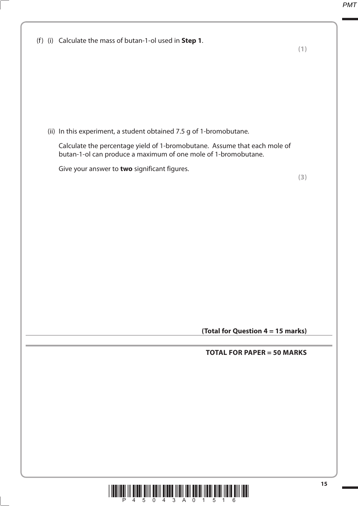| (f) (i) Calculate the mass of butan-1-ol used in $Step 1$ .                                                                                                                                                                                                        | (1) |
|--------------------------------------------------------------------------------------------------------------------------------------------------------------------------------------------------------------------------------------------------------------------|-----|
| (ii) In this experiment, a student obtained 7.5 g of 1-bromobutane.<br>Calculate the percentage yield of 1-bromobutane. Assume that each mole of<br>butan-1-ol can produce a maximum of one mole of 1-bromobutane.<br>Give your answer to two significant figures. | (3) |
|                                                                                                                                                                                                                                                                    |     |
| (Total for Question 4 = 15 marks)                                                                                                                                                                                                                                  |     |
| <b>TOTAL FOR PAPER = 50 MARKS</b>                                                                                                                                                                                                                                  |     |
|                                                                                                                                                                                                                                                                    |     |
|                                                                                                                                                                                                                                                                    |     |
|                                                                                                                                                                                                                                                                    |     |
|                                                                                                                                                                                                                                                                    |     |